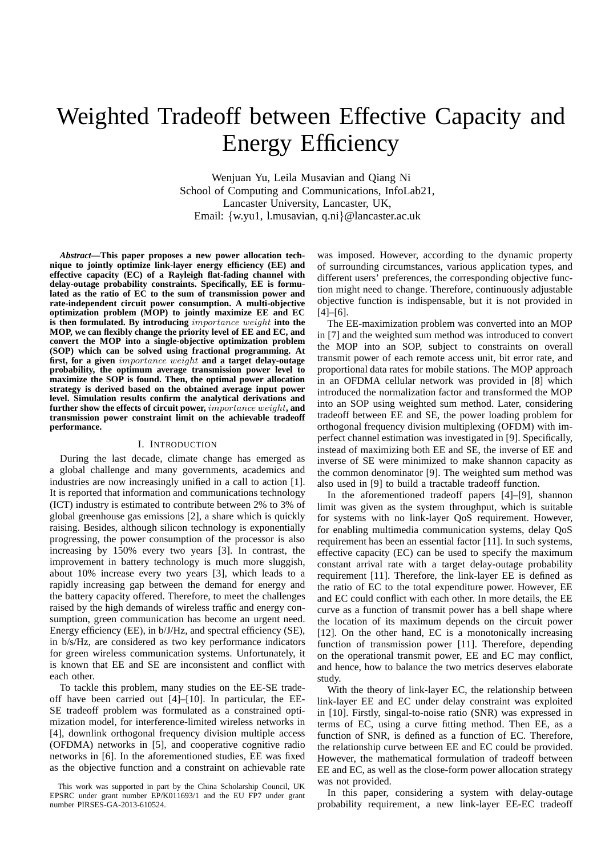# Weighted Tradeoff between Effective Capacity and Energy Efficiency

Wenjuan Yu, Leila Musavian and Qiang Ni School of Computing and Communications, InfoLab21, Lancaster University, Lancaster, UK, Email: {w.yu1, l.musavian, q.ni}@lancaster.ac.uk

*Abstract***—This paper proposes a new power allocation technique to jointly optimize link-layer energy efficiency (EE) and effective capacity (EC) of a Rayleigh flat-fading channel with delay-outage probability constraints. Specifically, EE is formulated as the ratio of EC to the sum of transmission power and rate-independent circuit power consumption. A multi-objective optimization problem (MOP) to jointly maximize EE and EC is then formulated. By introducing** importance weight **into the MOP, we can flexibly change the priority level of EE and EC, and convert the MOP into a single-objective optimization problem (SOP) which can be solved using fractional programming. At first, for a given** importance weight **and a target delay-outage probability, the optimum average transmission power level to maximize the SOP is found. Then, the optimal power allocation strategy is derived based on the obtained average input power level. Simulation results confirm the analytical derivations and further show the effects of circuit power,** importance weight**, and transmission power constraint limit on the achievable tradeoff performance.**

#### I. INTRODUCTION

During the last decade, climate change has emerged as a global challenge and many governments, academics and industries are now increasingly unified in a call to action [1]. It is reported that information and communications technology (ICT) industry is estimated to contribute between 2% to 3% of global greenhouse gas emissions [2], a share which is quickly raising. Besides, although silicon technology is exponentially progressing, the power consumption of the processor is also increasing by 150% every two years [3]. In contrast, the improvement in battery technology is much more sluggish, about 10% increase every two years [3], which leads to a rapidly increasing gap between the demand for energy and the battery capacity offered. Therefore, to meet the challenges raised by the high demands of wireless traffic and energy consumption, green communication has become an urgent need. Energy efficiency (EE), in b/J/Hz, and spectral efficiency (SE), in b/s/Hz, are considered as two key performance indicators for green wireless communication systems. Unfortunately, it is known that EE and SE are inconsistent and conflict with each other.

To tackle this problem, many studies on the EE-SE tradeoff have been carried out [4]–[10]. In particular, the EE-SE tradeoff problem was formulated as a constrained optimization model, for interference-limited wireless networks in [4], downlink orthogonal frequency division multiple access (OFDMA) networks in [5], and cooperative cognitive radio networks in [6]. In the aforementioned studies, EE was fixed as the objective function and a constraint on achievable rate

This work was supported in part by the China Scholarship Council, UK EPSRC under grant number EP/K011693/1 and the EU FP7 under grant number PIRSES-GA-2013-610524.

was imposed. However, according to the dynamic property of surrounding circumstances, various application types, and different users' preferences, the corresponding objective function might need to change. Therefore, continuously adjustable objective function is indispensable, but it is not provided in  $[4]-[6]$ .

The EE-maximization problem was converted into an MOP in [7] and the weighted sum method was introduced to convert the MOP into an SOP, subject to constraints on overall transmit power of each remote access unit, bit error rate, and proportional data rates for mobile stations. The MOP approach in an OFDMA cellular network was provided in [8] which introduced the normalization factor and transformed the MOP into an SOP using weighted sum method. Later, considering tradeoff between EE and SE, the power loading problem for orthogonal frequency division multiplexing (OFDM) with imperfect channel estimation was investigated in [9]. Specifically, instead of maximizing both EE and SE, the inverse of EE and inverse of SE were minimized to make shannon capacity as the common denominator [9]. The weighted sum method was also used in [9] to build a tractable tradeoff function.

In the aforementioned tradeoff papers [4]–[9], shannon limit was given as the system throughput, which is suitable for systems with no link-layer QoS requirement. However, for enabling multimedia communication systems, delay QoS requirement has been an essential factor [11]. In such systems, effective capacity (EC) can be used to specify the maximum constant arrival rate with a target delay-outage probability requirement [11]. Therefore, the link-layer EE is defined as the ratio of EC to the total expenditure power. However, EE and EC could conflict with each other. In more details, the EE curve as a function of transmit power has a bell shape where the location of its maximum depends on the circuit power [12]. On the other hand, EC is a monotonically increasing function of transmission power [11]. Therefore, depending on the operational transmit power, EE and EC may conflict, and hence, how to balance the two metrics deserves elaborate study.

With the theory of link-layer EC, the relationship between link-layer EE and EC under delay constraint was exploited in [10]. Firstly, singal-to-noise ratio (SNR) was expressed in terms of EC, using a curve fitting method. Then EE, as a function of SNR, is defined as a function of EC. Therefore, the relationship curve between EE and EC could be provided. However, the mathematical formulation of tradeoff between EE and EC, as well as the close-form power allocation strategy was not provided.

In this paper, considering a system with delay-outage probability requirement, a new link-layer EE-EC tradeoff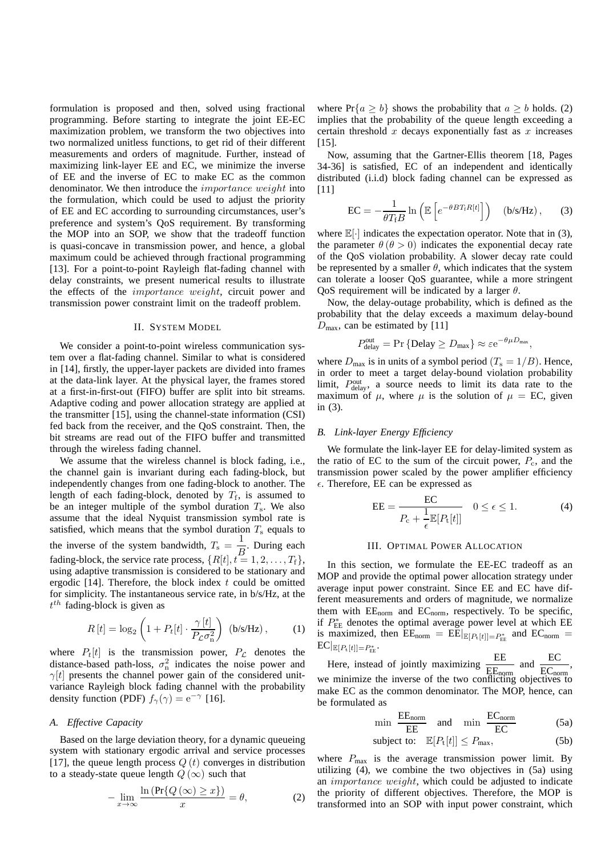formulation is proposed and then, solved using fractional programming. Before starting to integrate the joint EE-EC maximization problem, we transform the two objectives into two normalized unitless functions, to get rid of their different measurements and orders of magnitude. Further, instead of maximizing link-layer EE and EC, we minimize the inverse of EE and the inverse of EC to make EC as the common denominator. We then introduce the importance weight into the formulation, which could be used to adjust the priority of EE and EC according to surrounding circumstances, user's preference and system's QoS requirement. By transforming the MOP into an SOP, we show that the tradeoff function is quasi-concave in transmission power, and hence, a global maximum could be achieved through fractional programming [13]. For a point-to-point Rayleigh flat-fading channel with delay constraints, we present numerical results to illustrate the effects of the importance weight, circuit power and transmission power constraint limit on the tradeoff problem.

#### II. SYSTEM MODEL

We consider a point-to-point wireless communication system over a flat-fading channel. Similar to what is considered in [14], firstly, the upper-layer packets are divided into frames at the data-link layer. At the physical layer, the frames stored at a first-in-first-out (FIFO) buffer are split into bit streams. Adaptive coding and power allocation strategy are applied at the transmitter [15], using the channel-state information (CSI) fed back from the receiver, and the QoS constraint. Then, the bit streams are read out of the FIFO buffer and transmitted through the wireless fading channel.

We assume that the wireless channel is block fading, i.e., the channel gain is invariant during each fading-block, but independently changes from one fading-block to another. The length of each fading-block, denoted by  $T_f$ , is assumed to be an integer multiple of the symbol duration  $T_s$ . We also assume that the ideal Nyquist transmission symbol rate is satisfied, which means that the symbol duration  $T_s$  equals to the inverse of the system bandwidth,  $T_s = \frac{1}{T_s}$  $\frac{1}{B}$ . During each fading-block, the service rate process,  $\{R[t], t = 1, 2, \ldots, T_f\}$ , using adaptive transmission is considered to be stationary and ergodic  $[14]$ . Therefore, the block index t could be omitted for simplicity. The instantaneous service rate, in b/s/Hz, at the  $t^{th}$  fading-block is given as

$$
R[t] = \log_2\left(1 + P_t[t] \cdot \frac{\gamma[t]}{P_c \sigma_n^2}\right) \text{ (b/s/Hz)}, \quad (1)
$$

where  $P_t[t]$  is the transmission power,  $P_c$  denotes the distance-based path-loss,  $\sigma_n^2$  indicates the noise power and  $\gamma[t]$  presents the channel power gain of the considered unitvariance Rayleigh block fading channel with the probability density function (PDF)  $f_{\gamma}(\gamma) = e^{-\gamma}$  [16].

### *A. Effective Capacity*

Based on the large deviation theory, for a dynamic queueing system with stationary ergodic arrival and service processes [17], the queue length process  $Q(t)$  converges in distribution to a steady-state queue length  $Q(\infty)$  such that

$$
-\lim_{x \to \infty} \frac{\ln \left( \Pr\{Q\left(\infty\right) \ge x\} \right)}{x} = \theta,\tag{2}
$$

where  $Pr\{a \ge b\}$  shows the probability that  $a \ge b$  holds. (2) implies that the probability of the queue length exceeding a certain threshold  $x$  decays exponentially fast as  $x$  increases [15].

Now, assuming that the Gartner-Ellis theorem [18, Pages 34-36] is satisfied, EC of an independent and identically distributed (i.i.d) block fading channel can be expressed as [11]

$$
EC = -\frac{1}{\theta T_f B} \ln \left( \mathbb{E} \left[ e^{-\theta B T_f R[t]} \right] \right) \quad (b/s / Hz) , \quad (3)
$$

where  $\mathbb{E}[\cdot]$  indicates the expectation operator. Note that in (3), the parameter  $\theta$  ( $\theta > 0$ ) indicates the exponential decay rate of the QoS violation probability. A slower decay rate could be represented by a smaller  $\theta$ , which indicates that the system can tolerate a looser QoS guarantee, while a more stringent QoS requirement will be indicated by a larger  $\theta$ .

Now, the delay-outage probability, which is defined as the probability that the delay exceeds a maximum delay-bound  $D_{\text{max}}$ , can be estimated by [11]

$$
P_{\text{delay}}^{\text{out}} = \Pr \left\{ \text{Delay} \ge D_{\text{max}} \right\} \approx \varepsilon e^{-\theta \mu D_{\text{max}}},
$$

where  $D_{\text{max}}$  is in units of a symbol period  $(T_s = 1/B)$ . Hence, in order to meet a target delay-bound violation probability limit,  $P_{\text{delay}}^{\text{out}}$ , a source needs to limit its data rate to the maximum of  $\mu$ , where  $\mu$  is the solution of  $\mu = EC$ , given in (3).

#### *B. Link-layer Energy Efficiency*

We formulate the link-layer EE for delay-limited system as the ratio of EC to the sum of the circuit power,  $P_c$ , and the transmission power scaled by the power amplifier efficiency  $\epsilon$ . Therefore, EE can be expressed as

$$
EE = \frac{EC}{P_c + \frac{1}{\epsilon} \mathbb{E}[P_t[t]]} \quad 0 \le \epsilon \le 1.
$$
 (4)

## III. OPTIMAL POWER ALLOCATION

In this section, we formulate the EE-EC tradeoff as an MOP and provide the optimal power allocation strategy under average input power constraint. Since EE and EC have different measurements and orders of magnitude, we normalize them with  $EE_{norm}$  and  $EC_{norm}$ , respectively. To be specific, if  $P_{\text{EE}}^{*}$  denotes the optimal average power level at which EE is maximized, then  $EE_{\text{norm}} = EE|_{E[P_t[t]] = P_{EE}^*}$  and  $EC_{\text{norm}} =$  $\text{EC}|_{\mathbb{E}[P_{\text{t}}[t]] = P_{\text{FE}}^*}.$ 

Here, instead of jointly maximizing  $\frac{\text{EE}}{\text{EF}_{\text{norm}}}$  and  $\frac{\text{EC}}{\text{EC}_{\text{norm}}}$ , we minimize the inverse of the two conflicting objectives to make EC as the common denominator. The MOP, hence, can be formulated as

$$
\min \frac{\text{EE}_{\text{norm}}}{\text{EE}} \quad \text{and} \quad \min \frac{\text{EC}_{\text{norm}}}{\text{EC}} \tag{5a}
$$

subject to: 
$$
\mathbb{E}[P_t[t]] \leq P_{\text{max}},
$$
 (5b)

where  $P_{\text{max}}$  is the average transmission power limit. By utilizing (4), we combine the two objectives in (5a) using an importance weight, which could be adjusted to indicate the priority of different objectives. Therefore, the MOP is transformed into an SOP with input power constraint, which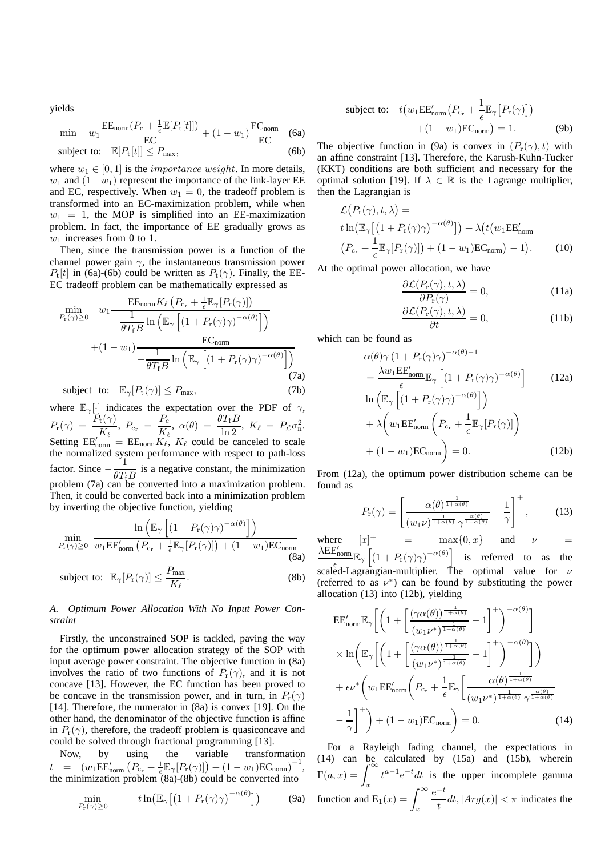yields

$$
\min \quad w_1 \frac{\text{EE}_{\text{norm}}(P_{\text{c}} + \frac{1}{\epsilon} \mathbb{E}[P_{\text{t}}[t]])}{\text{EC}} + (1 - w_1) \frac{\text{EC}_{\text{norm}}}{\text{EC}} \quad \text{(6a)}
$$

$$
subject to: \quad \mathbb{E}[P_{t}[t]] \le P_{\text{max}}, \tag{6b}
$$

where  $w_1 \in [0, 1]$  is the *importance weight*. In more details,  $w_1$  and  $(1-w_1)$  represent the importance of the link-layer EE and EC, respectively. When  $w_1 = 0$ , the tradeoff problem is transformed into an EC-maximization problem, while when  $w_1 = 1$ , the MOP is simplified into an EE-maximization problem. In fact, the importance of EE gradually grows as  $w_1$  increases from 0 to 1.

Then, since the transmission power is a function of the channel power gain  $\gamma$ , the instantaneous transmission power  $P_t[t]$  in (6a)-(6b) could be written as  $P_t(\gamma)$ . Finally, the EE-EC tradeoff problem can be mathematically expressed as

$$
\min_{P_{\rm r}(\gamma) \ge 0} \quad w_1 \frac{\text{EE}_{\rm norm} K_{\ell} \left( P_{\rm c_r} + \frac{1}{\epsilon} \mathbb{E}_{\gamma} [P_{\rm r}(\gamma)] \right)}{-\frac{1}{\theta T_{\rm f} B} \ln \left( \mathbb{E}_{\gamma} \left[ \left( 1 + P_{\rm r}(\gamma) \gamma \right)^{-\alpha(\theta)} \right] \right)}
$$
\n
$$
+ (1 - w_1) \frac{\text{EC}_{\rm norm}}{-\frac{1}{\theta T_{\rm f} B} \ln \left( \mathbb{E}_{\gamma} \left[ \left( 1 + P_{\rm r}(\gamma) \gamma \right)^{-\alpha(\theta)} \right] \right)}
$$
\n(7a)

subject to:  $\mathbb{E}_{\gamma}[P_t(\gamma)] \leq P_{\text{max}},$  (7b)

where  $\mathbb{E}_{\gamma}[\cdot]$  indicates the expectation over the PDF of  $\gamma$ ,  $P_{\rm r}(\gamma)~=~\frac{P_{\rm t}(\gamma)}{K_{\ell}},~P_{\rm c_r}~=~\frac{P_{\rm c}}{K_{\ell}}$  $\frac{P_{\rm c}}{K_{\ell}}, \ \alpha(\theta) = \frac{\theta T_{\rm f} B}{\ln 2}, \ K_{\ell} = P_{\mathcal{L}} \sigma_{\rm n}^2.$ Setting  $EE'_{\text{norm}} = EE_{\text{norm}}K_{\ell}$ ,  $K_{\ell}$  could be canceled to scale the normalized system performance with respect to path-loss factor. Since  $-\frac{1}{2\pi}$  $\frac{1}{\theta T_{\text{f}}B}$  is a negative constant, the minimization problem (7a) can be converted into a maximization problem. Then, it could be converted back into a minimization problem by inverting the objective function, yielding

$$
\min_{P_{\rm r}(\gamma) \ge 0} \frac{\ln \left( \mathbb{E}_{\gamma} \left[ (1 + P_{\rm r}(\gamma) \gamma)^{-\alpha(\theta)} \right] \right)}{w_1 \mathsf{EE}_{\rm norm}' \left( P_{\rm c_r} + \frac{1}{\epsilon} \mathbb{E}_{\gamma} [P_{\rm r}(\gamma)] \right) + (1 - w_1) \mathsf{EC}_{\rm norm}} \tag{8a}
$$

subject to: 
$$
\mathbb{E}_{\gamma}[P_{\rm r}(\gamma)] \le \frac{P_{\rm max}}{K_{\ell}}.
$$
 (8b)

# *A. Optimum Power Allocation With No Input Power Constraint*

Firstly, the unconstrained SOP is tackled, paving the way for the optimum power allocation strategy of the SOP with input average power constraint. The objective function in (8a) involves the ratio of two functions of  $P_r(\gamma)$ , and it is not concave [13]. However, the EC function has been proved to be concave in the transmission power, and in turn, in  $P_r(\gamma)$ [14]. Therefore, the numerator in  $(8a)$  is convex [19]. On the other hand, the denominator of the objective function is affine in  $P_r(\gamma)$ , therefore, the tradeoff problem is quasiconcave and could be solved through fractional programming [13].

Now, by using the variable transformation  $t = (w_1 \text{EE}_{\text{norm}}' (P_{c_r} + \frac{1}{\epsilon} \mathbb{E}_{\gamma} [P_r(\gamma)]) + (1 - w_1) \text{EC}_{\text{norm}})^{-1},$ the minimization problem (8a)-(8b) could be converted into

$$
\min_{P_{\rm r}(\gamma)\geq 0} \qquad t \ln\bigl(\mathbb{E}_{\gamma}\bigl[\bigl(1+P_{\rm r}(\gamma)\gamma\bigr)^{-\alpha(\theta)}\bigr]\bigr) \qquad \qquad \textbf{(9a)}
$$

subject to: 
$$
t(w_1 \text{EE}_{\text{norm}}'(P_{c_r} + \frac{1}{\epsilon} \mathbb{E}_{\gamma}[P_r(\gamma)])
$$
  
  $+ (1 - w_1) \text{EC}_{\text{norm}}) = 1.$  (9b)

The objective function in (9a) is convex in  $(P_r(\gamma), t)$  with an affine constraint [13]. Therefore, the Karush-Kuhn-Tucker (KKT) conditions are both sufficient and necessary for the optimal solution [19]. If  $\lambda \in \mathbb{R}$  is the Lagrange multiplier, then the Lagrangian is

$$
\mathcal{L}\big(P_r(\gamma), t, \lambda\big) =
$$
\n
$$
t \ln\big(\mathbb{E}_{\gamma}\big[\big(1 + P_r(\gamma)\gamma\big)^{-\alpha(\theta)}\big]\big) + \lambda \big(t \big(w_1 \mathbb{E} \mathbb{E}_{\text{norm}}'\big) \big( P_{c_r} + \frac{1}{\epsilon} \mathbb{E}_{\gamma} [P_r(\gamma)]\big) + (1 - w_1) \mathbb{E} \mathbb{C}_{\text{norm}} \big) - 1 \big). \tag{10}
$$

At the optimal power allocation, we have

$$
\frac{\partial \mathcal{L}(P_{\rm r}(\gamma), t, \lambda)}{\partial P_{\rm r}(\gamma)} = 0,
$$
\n(11a)

$$
\frac{\partial \mathcal{L}(P_{\rm r}(\gamma), t, \lambda)}{\partial t} = 0, \tag{11b}
$$

which can be found as

$$
\alpha(\theta)\gamma (1 + P_{r}(\gamma)\gamma)^{-\alpha(\theta)-1}
$$
\n
$$
= \frac{\lambda w_{1}EE'_{\text{norm}}}{\epsilon} \mathbb{E}_{\gamma} \left[ (1 + P_{r}(\gamma)\gamma)^{-\alpha(\theta)} \right] \qquad (12a)
$$
\n
$$
\ln \left( \mathbb{E}_{\gamma} \left[ (1 + P_{r}(\gamma)\gamma)^{-\alpha(\theta)} \right] \right)
$$
\n
$$
+ \lambda \left( w_{1}EE'_{\text{norm}} \left( P_{c_{r}} + \frac{1}{\epsilon} \mathbb{E}_{\gamma} [P_{r}(\gamma)] \right) \right)
$$
\n
$$
+ (1 - w_{1})EC_{\text{norm}} \right) = 0. \qquad (12b)
$$

From (12a), the optimum power distribution scheme can be found as

$$
P_{\mathbf{r}}(\gamma) = \left[ \frac{\alpha(\theta)^{\frac{1}{1+\alpha(\theta)}}}{(w_1 \nu)^{\frac{1}{1+\alpha(\theta)}} \gamma^{\frac{\alpha(\theta)}{1+\alpha(\theta)}}} - \frac{1}{\gamma} \right]^+, \quad (13)
$$

where  $[x]^+$  = max $\{0, x\}$  and  $\nu$  =  $\lambda \text{EE}_{\text{norm}}^{\prime}$  $\mathbb{E}_{\gamma} \left[ (1 + P_{\rm r}(\gamma) \gamma)^{-\alpha(\theta)} \right]$  is referred to as the scaled-Lagrangian-multiplier. The optimal value for  $\nu$ (referred to as  $\nu^*$ ) can be found by substituting the power allocation (13) into (12b), yielding

$$
EE'_{\text{norm}} \mathbb{E}_{\gamma} \left[ \left( 1 + \left[ \frac{(\gamma \alpha(\theta))^{\frac{1}{1+\alpha(\theta)}}}{(w_1 \nu^*)^{\frac{1}{1+\alpha(\theta)}}} - 1 \right]^+ \right)^{-\alpha(\theta)} \right] \times \ln \left( \mathbb{E}_{\gamma} \left[ \left( 1 + \left[ \frac{(\gamma \alpha(\theta))^{\frac{1}{1+\alpha(\theta)}}}{(w_1 \nu^*)^{\frac{1}{1+\alpha(\theta)}}} - 1 \right]^+ \right)^{-\alpha(\theta)} \right] \right) \right)
$$

$$
+ \epsilon \nu^* \left( w_1 EE'_{\text{norm}} \left( P_{c_r} + \frac{1}{\epsilon} \mathbb{E}_{\gamma} \left[ \frac{\alpha(\theta)^{\frac{1}{1+\alpha(\theta)}}}{(w_1 \nu^*)^{\frac{1}{1+\alpha(\theta)}}} \frac{\alpha(\theta)}{\gamma^{\frac{\alpha(\theta)}{1+\alpha(\theta)}}} \right] - \frac{1}{\gamma} \right]^+ \right) + (1 - w_1) EC_{\text{norm}} \right) = 0. \tag{14}
$$

For a Rayleigh fading channel, the expectations in (14) can be calculated by (15a) and (15b), wherein  $\Gamma(a, x) = \int_{-\infty}^{\infty}$ x  $t^{a-1}e^{-t}dt$  is the upper incomplete gamma function and  $E_1(x) = \int_x^{\infty}$  $e^{-t}$  $\frac{1}{t}dt$ ,  $|Arg(x)| < \pi$  indicates the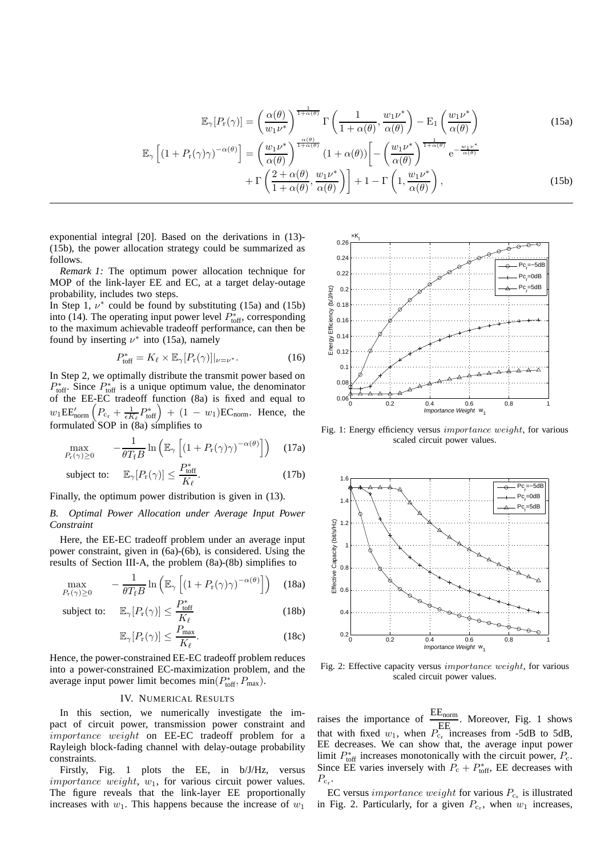$$
\mathbb{E}_{\gamma}[P_{\mathbf{r}}(\gamma)] = \left(\frac{\alpha(\theta)}{w_1 \nu^*}\right)^{\frac{1}{1+\alpha(\theta)}} \Gamma\left(\frac{1}{1+\alpha(\theta)}, \frac{w_1 \nu^*}{\alpha(\theta)}\right) - \mathbb{E}_{1}\left(\frac{w_1 \nu^*}{\alpha(\theta)}\right)
$$
(15a)  

$$
\mathbb{E}_{\gamma}\left[(1+P_{\mathbf{r}}(\gamma)\gamma)^{-\alpha(\theta)}\right] = \left(\frac{w_1 \nu^*}{\alpha(\theta)}\right)^{\frac{\alpha(\theta)}{1+\alpha(\theta)}} \left(1+\alpha(\theta)\right) \left[-\left(\frac{w_1 \nu^*}{\alpha(\theta)}\right)^{\frac{1}{1+\alpha(\theta)}} e^{-\frac{w_1 \nu^*}{\alpha(\theta)}}\right] + \Gamma\left(\frac{2+\alpha(\theta)}{1+\alpha(\theta)}, \frac{w_1 \nu^*}{\alpha(\theta)}\right)\right] + 1 - \Gamma\left(1, \frac{w_1 \nu^*}{\alpha(\theta)}\right),
$$
(15b)

exponential integral [20]. Based on the derivations in (13)- (15b), the power allocation strategy could be summarized as follows.

*Remark 1:* The optimum power allocation technique for MOP of the link-layer EE and EC, at a target delay-outage probability, includes two steps.

In Step 1,  $\nu^*$  could be found by substituting (15a) and (15b) into (14). The operating input power level  $P_{\text{toff}}^*$ , corresponding to the maximum achievable tradeoff performance, can then be found by inserting  $\nu^*$  into (15a), namely

$$
P_{\text{toff}}^* = K_{\ell} \times \mathbb{E}_{\gamma} [P_{\text{r}}(\gamma)]|_{\nu = \nu^*}.
$$
 (16)

In Step 2, we optimally distribute the transmit power based on  $P_{\text{toff}}^*$ . Since  $P_{\text{toff}}^*$  is a unique optimum value, the denominator of the EE-EC tradeoff function (8a) is fixed and equal to  $w_1 \text{EE}_{\text{norm}}' \left( P_{c_r} + \frac{1}{\epsilon K_\ell} P_{\text{toff}}^* \right) + (1 - w_1) \text{EC}_{\text{norm}}$ . Hence, the formulated SOP in (8a) simplifies to

$$
\max_{P_{\rm r}(\gamma)\geq 0} \qquad -\frac{1}{\theta T_{\rm f}B} \ln \left( \mathbb{E}_{\gamma} \left[ (1+P_{\rm r}(\gamma)\gamma)^{-\alpha(\theta)} \right] \right) \quad (17a)
$$

subject to: 
$$
\mathbb{E}_{\gamma}[P_{\rm r}(\gamma)] \le \frac{P_{\rm toff}^*}{K_{\ell}}.
$$
 (17b)

Finally, the optimum power distribution is given in (13).

## *B. Optimal Power Allocation under Average Input Power Constraint*

Here, the EE-EC tradeoff problem under an average input power constraint, given in (6a)-(6b), is considered. Using the results of Section III-A, the problem (8a)-(8b) simplifies to

$$
\max_{P_{\rm r}(\gamma)\geq 0} \qquad -\frac{1}{\theta T_{\rm f}B} \ln \left( \mathbb{E}_{\gamma} \left[ \left( 1 + P_{\rm r}(\gamma)\gamma \right)^{-\alpha(\theta)} \right] \right) \quad (18a)
$$

subject to:  $\mathbb{E}_{\gamma}[P_{r}(\gamma)] \leq \frac{P_{\text{toff}}^{*}}{V}$  $K_{\ell}$ (18b)

$$
\mathbb{E}_{\gamma}[P_{\rm r}(\gamma)] \le \frac{P_{\rm max}}{K_{\ell}}.\tag{18c}
$$

Hence, the power-constrained EE-EC tradeoff problem reduces into a power-constrained EC-maximization problem, and the average input power limit becomes  $min(P_{\text{toff}}^*, P_{\text{max}})$ .

## IV. NUMERICAL RESULTS

In this section, we numerically investigate the impact of circuit power, transmission power constraint and importance weight on EE-EC tradeoff problem for a Rayleigh block-fading channel with delay-outage probability constraints.

Firstly, Fig. 1 plots the EE, in b/J/Hz, versus *importance weight,*  $w_1$ , for various circuit power values. The figure reveals that the link-layer EE proportionally increases with  $w_1$ . This happens because the increase of  $w_1$ 



Fig. 1: Energy efficiency versus importance weight, for various scaled circuit power values.



Fig. 2: Effective capacity versus importance weight, for various scaled circuit power values.

raises the importance of  $\frac{EE_{\text{norm}}}{E}$ . Moreover, Fig. 1 shows that with fixed  $w_1$ , when  $P_{c_r}^{222}$  increases from -5dB to 5dB, EE decreases. We can show that, the average input power limit  $P_{\text{toff}}^*$  increases monotonically with the circuit power,  $P_{\text{c}}$ . Since EE varies inversely with  $P_c + P_{\text{toff}}^*$ , EE decreases with  $P_{c_r}$ .

EC versus *importance weight* for various  $P_{c_r}$  is illustrated in Fig. 2. Particularly, for a given  $P_{c_r}$ , when  $w_1$  increases,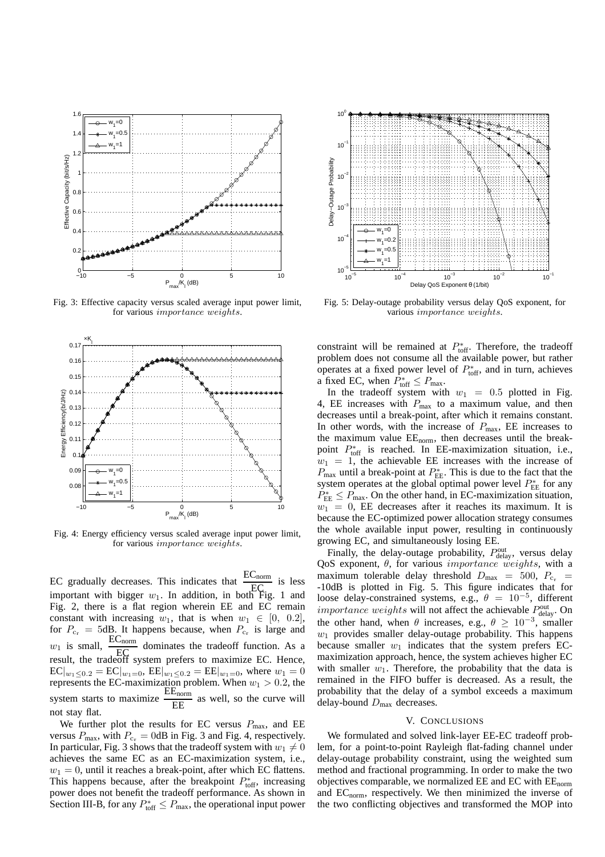

Fig. 3: Effective capacity versus scaled average input power limit, for various importance weights.



Fig. 4: Energy efficiency versus scaled average input power limit, for various importance weights.

EC gradually decreases. This indicates that  $\frac{EC_{\text{norm}}}{EC}$  is less EC graduary decreases. This marcures diate  $EC$  is resisting to the strategy in  $EC$ Fig. 2, there is a flat region wherein EE and EC remain constant with increasing  $w_1$ , that is when  $w_1 \in [0, 0.2]$ , for  $P_{c_r} = 5dB$ . It happens because, when  $P_{c_r}$  is large and  $w_1$  is small, EC<br>result, the tradeoff system prefers to maximize EC. Hence,  $\frac{EC_{\text{norm}}}{EC}$  dominates the tradeoff function. As a  $EC|_{w_1 \leq 0.2} = EC|_{w_1=0}$ ,  $EE|_{w_1 \leq 0.2} = EE|_{w_1=0}$ , where  $w_1 = 0$ represents the EC-maximization problem. When  $w_1 > 0.2$ , the system starts to maximize  $\frac{EE_{\text{norm}}}{EF}$  $\frac{\text{E}_{\text{nom}}}{\text{E}}$  as well, so the curve will not stay flat.

We further plot the results for EC versus  $P_{\text{max}}$ , and EE versus  $P_{\text{max}}$ , with  $P_{\text{c}_r} = 0$ dB in Fig. 3 and Fig. 4, respectively. In particular, Fig. 3 shows that the tradeoff system with  $w_1 \neq 0$ achieves the same EC as an EC-maximization system, i.e.,  $w_1 = 0$ , until it reaches a break-point, after which EC flattens. This happens because, after the breakpoint  $P_{\text{toff}}^*$ , increasing power does not benefit the tradeoff performance. As shown in Section III-B, for any  $P_{\text{toff}}^* \leq P_{\text{max}}$ , the operational input power



Fig. 5: Delay-outage probability versus delay QoS exponent, for various importance weights.

constraint will be remained at  $P_{\text{toff}}^*$ . Therefore, the tradeoff problem does not consume all the available power, but rather operates at a fixed power level of  $P_{\text{toff}}^*$ , and in turn, achieves a fixed EC, when  $P_{\text{toff}}^* \leq P_{\text{max}}$ .

In the tradeoff system with  $w_1 = 0.5$  plotted in Fig. 4, EE increases with  $P_{\text{max}}$  to a maximum value, and then decreases until a break-point, after which it remains constant. In other words, with the increase of  $P_{\text{max}}$ , EE increases to the maximum value  $EE_{norm}$ , then decreases until the breakpoint  $P_{\text{toff}}^*$  is reached. In EE-maximization situation, i.e.,  $w_1 = 1$ , the achievable EE increases with the increase of  $P_{\text{max}}$  until a break-point at  $P_{\text{EE}}^*$ . This is due to the fact that the system operates at the global optimal power level  $P_{\text{EE}}^{*}$  for any  $P_{\text{EE}}^* \leq P_{\text{max}}$ . On the other hand, in EC-maximization situation,  $w_1 = 0$ , EE decreases after it reaches its maximum. It is because the EC-optimized power allocation strategy consumes the whole available input power, resulting in continuously growing EC, and simultaneously losing EE.

Finally, the delay-outage probability,  $P_{\text{delay}}^{\text{out}}$ , versus delay QoS exponent,  $\theta$ , for various *importance weights*, with a maximum tolerable delay threshold  $D_{\text{max}} = 500$ ,  $P_{\text{c}_{\text{r}}}$ -10dB is plotted in Fig. 5. This figure indicates that for loose delay-constrained systems, e.g.,  $\theta = 10^{-5}$ , different *importance weights* will not affect the achievable  $P_{\text{delay}}^{\text{out}}$ . On the other hand, when  $\theta$  increases, e.g.,  $\theta \geq 10^{-3}$ , smaller  $w_1$  provides smaller delay-outage probability. This happens because smaller  $w_1$  indicates that the system prefers ECmaximization approach, hence, the system achieves higher EC with smaller  $w_1$ . Therefore, the probability that the data is remained in the FIFO buffer is decreased. As a result, the probability that the delay of a symbol exceeds a maximum delay-bound  $D_{\text{max}}$  decreases.

## V. CONCLUSIONS

We formulated and solved link-layer EE-EC tradeoff problem, for a point-to-point Rayleigh flat-fading channel under delay-outage probability constraint, using the weighted sum method and fractional programming. In order to make the two objectives comparable, we normalized EE and EC with EEnorm and  $EC_{norm}$ , respectively. We then minimized the inverse of the two conflicting objectives and transformed the MOP into